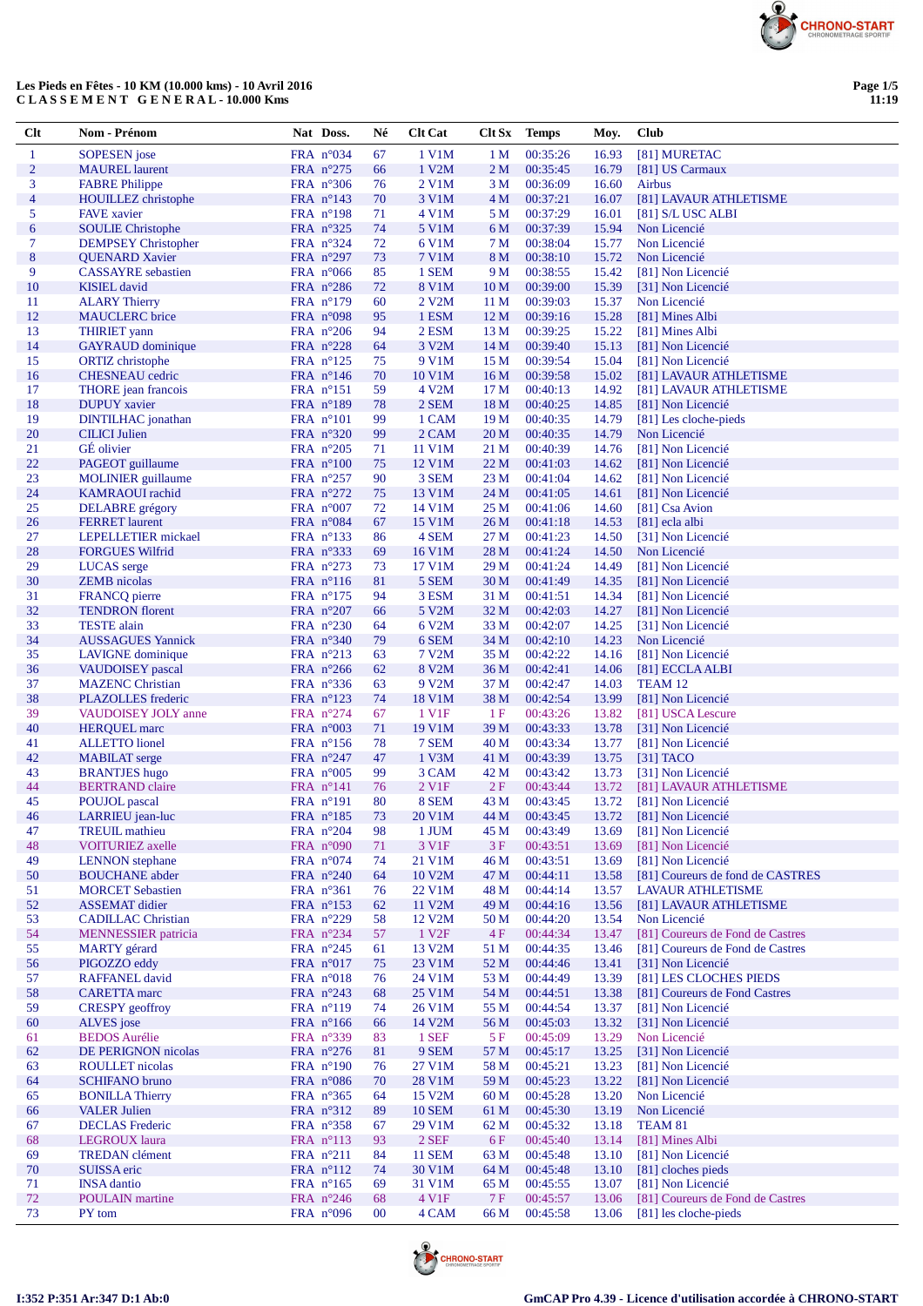

### **Les Pieds en Fêtes - 10 KM (10.000 kms) - 10 Avril 2016 C L A S S E M E N T G E N E R A L - 10.000 Kms**

| $Cl$ t              | Nom - Prénom                                     | Nat Doss.                                | Né       | <b>Clt Cat</b>                | <b>Clt Sx</b>                      | <b>Temps</b>         | Moy.           | <b>Club</b>                                           |
|---------------------|--------------------------------------------------|------------------------------------------|----------|-------------------------------|------------------------------------|----------------------|----------------|-------------------------------------------------------|
| $\mathbf{1}$        | <b>SOPESEN</b> jose                              | FRA $n^{\circ}034$                       | 67       | 1 V1M                         | 1 <sub>M</sub>                     | 00:35:26             | 16.93          | [81] MURETAC                                          |
| $\overline{2}$      | <b>MAUREL</b> laurent                            | FRA n°275                                | 66       | 1 V2M                         | 2M                                 | 00:35:45             | 16.79          | [81] US Carmaux                                       |
| 3                   | <b>FABRE Philippe</b>                            | FRA $n^{\circ}306$                       | 76       | 2 V1M                         | 3 M                                | 00:36:09             | 16.60          | Airbus                                                |
| $\overline{4}$<br>5 | <b>HOUILLEZ</b> christophe<br><b>FAVE</b> xavier | FRA $n^{\circ}143$<br>FRA $n^{\circ}198$ | 70<br>71 | 3 V1M<br>4 V1M                | 4 <sub>M</sub><br>5 M              | 00:37:21<br>00:37:29 | 16.07<br>16.01 | [81] LAVAUR ATHLETISME<br>[81] S/L USC ALBI           |
| 6                   | <b>SOULIE</b> Christophe                         | FRA $n^{\circ}325$                       | 74       | 5 V1M                         | 6 M                                | 00:37:39             | 15.94          | Non Licencié                                          |
| $\tau$              | <b>DEMPSEY</b> Christopher                       | FRA $n^{\circ}324$                       | 72       | 6 V1M                         | 7 M                                | 00:38:04             | 15.77          | Non Licencié                                          |
| $\bf 8$             | <b>QUENARD Xavier</b>                            | FRA $n^{\circ}297$                       | 73       | 7 V1M                         | 8 M                                | 00:38:10             | 15.72          | Non Licencié                                          |
| 9                   | <b>CASSAYRE</b> sebastien                        | FRA $n^{\circ}066$                       | 85       | 1 SEM                         | 9 M                                | 00:38:55             | 15.42          | [81] Non Licencié                                     |
| 10                  | <b>KISIEL</b> david                              | FRA $n^{\circ}286$                       | 72       | <b>8 V1M</b>                  | 10 <sub>M</sub>                    | 00:39:00             | 15.39          | [31] Non Licencié                                     |
| 11                  | <b>ALARY Thierry</b>                             | FRA n°179                                | 60       | 2 V2M                         | 11 M                               | 00:39:03             | 15.37          | Non Licencié                                          |
| 12<br>13            | <b>MAUCLERC</b> brice                            | FRA n°098                                | 95       | 1 ESM<br>2 ESM                | 12 <sub>M</sub>                    | 00:39:16             | 15.28          | [81] Mines Albi                                       |
| 14                  | <b>THIRIET</b> yann<br><b>GAYRAUD</b> dominique  | FRA $n^{\circ}206$<br>FRA $n^{\circ}228$ | 94<br>64 | 3 V2M                         | 13 <sub>M</sub><br>14 <sub>M</sub> | 00:39:25<br>00:39:40 | 15.22<br>15.13 | [81] Mines Albi<br>[81] Non Licencié                  |
| 15                  | <b>ORTIZ</b> christophe                          | FRA $n^{\circ}125$                       | 75       | 9 V1M                         | 15 <sub>M</sub>                    | 00:39:54             | 15.04          | [81] Non Licencié                                     |
| 16                  | <b>CHESNEAU</b> cedric                           | FRA $n^{\circ}146$                       | 70       | 10 V1M                        | 16 <sub>M</sub>                    | 00:39:58             | 15.02          | [81] LAVAUR ATHLETISME                                |
| 17                  | THORE jean francois                              | FRA $n^{\circ}151$                       | 59       | 4 V2M                         | 17 <sub>M</sub>                    | 00:40:13             | 14.92          | [81] LAVAUR ATHLETISME                                |
| 18                  | <b>DUPUY</b> xavier                              | FRA $n^{\circ}189$                       | 78       | 2 SEM                         | 18 M                               | 00:40:25             | 14.85          | [81] Non Licencié                                     |
| 19                  | <b>DINTILHAC</b> jonathan                        | FRA $n^{\circ}101$                       | 99       | 1 CAM                         | 19 <sub>M</sub>                    | 00:40:35             | 14.79          | [81] Les cloche-pieds                                 |
| 20                  | <b>CILICI</b> Julien                             | FRA $n^{\circ}320$                       | 99       | 2 CAM                         | 20 <sub>M</sub>                    | 00:40:35             | 14.79          | Non Licencié                                          |
| 21<br>22            | GÉ olivier<br>PAGEOT guillaume                   | FRA $n^{\circ}205$<br>FRA $n^{\circ}100$ | 71<br>75 | 11 V1M<br>12 V1M              | 21 M<br>22 <sub>M</sub>            | 00:40:39<br>00:41:03 | 14.76<br>14.62 | [81] Non Licencié<br>[81] Non Licencié                |
| 23                  | <b>MOLINIER</b> guillaume                        | FRA $n^{\circ}257$                       | 90       | 3 SEM                         | 23 M                               | 00:41:04             | 14.62          | [81] Non Licencié                                     |
| 24                  | <b>KAMRAOUI</b> rachid                           | FRA $n^{\circ}272$                       | 75       | 13 V1M                        | 24 M                               | 00:41:05             | 14.61          | [81] Non Licencié                                     |
| 25                  | <b>DELABRE</b> grégory                           | FRA $n^{\circ}007$                       | 72       | 14 V1M                        | 25 M                               | 00:41:06             | 14.60          | [81] Csa Avion                                        |
| 26                  | <b>FERRET</b> laurent                            | FRA $n^{\circ}084$                       | 67       | 15 V1M                        | 26 M                               | 00:41:18             | 14.53          | [81] ecla albi                                        |
| 27                  | LEPELLETIER mickael                              | FRA $n^{\circ}$ 133                      | 86       | 4 SEM                         | 27 M                               | 00:41:23             | 14.50          | [31] Non Licencié                                     |
| 28                  | <b>FORGUES Wilfrid</b>                           | FRA $n^{\circ}333$                       | 69       | 16 V1M                        | 28 M                               | 00:41:24             | 14.50          | Non Licencié                                          |
| 29                  | <b>LUCAS</b> serge                               | FRA $n^{\circ}273$                       | 73       | 17 V1M                        | 29 M                               | 00:41:24             | 14.49          | [81] Non Licencié                                     |
| 30<br>31            | <b>ZEMB</b> nicolas<br><b>FRANCQ</b> pierre      | FRA $n^{\circ}116$<br>FRA $n^{\circ}175$ | 81<br>94 | 5 SEM<br>3 ESM                | 30 M<br>31 M                       | 00:41:49<br>00:41:51 | 14.35<br>14.34 | [81] Non Licencié<br>[81] Non Licencié                |
| 32                  | <b>TENDRON</b> florent                           | FRA $n^{\circ}207$                       | 66       | 5 V2M                         | 32 M                               | 00:42:03             | 14.27          | [81] Non Licencié                                     |
| 33                  | <b>TESTE</b> alain                               | FRA $n^{\circ}230$                       | 64       | 6 V2M                         | 33 M                               | 00:42:07             | 14.25          | [31] Non Licencié                                     |
| 34                  | <b>AUSSAGUES Yannick</b>                         | FRA $n^{\circ}340$                       | 79       | 6 SEM                         | 34 M                               | 00:42:10             | 14.23          | Non Licencié                                          |
| 35                  | LAVIGNE dominique                                | FRA $n^{\circ}213$                       | 63       | 7 V2M                         | 35 M                               | 00:42:22             | 14.16          | [81] Non Licencié                                     |
| 36                  | VAUDOISEY pascal                                 | FRA $n^{\circ}266$                       | 62       | 8 V2M                         | 36 M                               | 00:42:41             | 14.06          | [81] ECCLA ALBI                                       |
| 37                  | <b>MAZENC Christian</b>                          | FRA $n^{\circ}336$                       | 63       | 9 V2M                         | 37 M                               | 00:42:47             | 14.03          | TEAM 12                                               |
| 38<br>39            | PLAZOLLES frederic                               | FRA $n^{\circ}123$                       | 74       | 18 V1M<br>1 V <sub>1</sub> F  | 38 M<br>1F                         | 00:42:54<br>00:43:26 | 13.99          | [81] Non Licencié                                     |
| 40                  | VAUDOISEY JOLY anne<br><b>HERQUEL</b> marc       | FRA $n^{\circ}274$<br>FRA $n^{\circ}003$ | 67<br>71 | 19 V1M                        | 39 M                               | 00:43:33             | 13.82<br>13.78 | [81] USCA Lescure<br>[31] Non Licencié                |
| 41                  | <b>ALLETTO</b> lionel                            | FRA $n^{\circ}156$                       | 78       | 7 SEM                         | 40 M                               | 00:43:34             | 13.77          | [81] Non Licencié                                     |
| 42                  | <b>MABILAT</b> serge                             | FRA $n^{\circ}247$                       | 47       | 1 V3M                         | 41 M                               | 00:43:39             | 13.75          | $[31]$ TACO                                           |
| 43                  | <b>BRANTJES</b> hugo                             | FRA $n^{\circ}005$                       | 99       | 3 CAM                         | 42 M                               | 00:43:42             | 13.73          | [31] Non Licencié                                     |
| 44                  | <b>BERTRAND</b> claire                           | FRA $n^{\circ}141$                       | 76       | 2 V1F                         | 2F                                 | 00:43:44             | 13.72          | [81] LAVAUR ATHLETISME                                |
| 45                  | POUJOL pascal                                    | FRA $n^{\circ}191$                       | 80       | 8 SEM                         | 43 M                               | 00:43:45             | 13.72          | [81] Non Licencié                                     |
| 46                  | LARRIEU jean-luc<br><b>TREUIL</b> mathieu        | FRA $n^{\circ}185$<br>FRA n°204          | 73       | 20 V1M                        | 44 M                               | 00:43:45             | 13.72          | [81] Non Licencié                                     |
| 47<br>48            | <b>VOITURIEZ</b> axelle                          | FRA $n^{\circ}090$                       | 98<br>71 | 1 JUM<br>3 V1F                | 45 M<br>3F                         | 00:43:49<br>00:43:51 | 13.69<br>13.69 | [81] Non Licencié<br>[81] Non Licencié                |
| 49                  | <b>LENNON</b> stephane                           | FRA $n^{\circ}074$                       | 74       | 21 V1M                        | 46 M                               | 00:43:51             | 13.69          | [81] Non Licencié                                     |
| 50                  | <b>BOUCHANE</b> abder                            | FRA $n^{\circ}240$                       | 64       | 10 V2M                        | 47 M                               | 00:44:11             | 13.58          | [81] Coureurs de fond de CASTRES                      |
| 51                  | <b>MORCET Sebastien</b>                          | FRA $n^{\circ}361$                       | 76       | 22 V1M                        | 48 M                               | 00:44:14             | 13.57          | <b>LAVAUR ATHLETISME</b>                              |
| 52                  | <b>ASSEMAT</b> didier                            | FRA $n^{\circ}153$                       | 62       | 11 V2M                        | 49 M                               | 00:44:16             | 13.56          | [81] LAVAUR ATHLETISME                                |
| 53                  | <b>CADILLAC Christian</b>                        | FRA $n^{\circ}229$                       | 58       | 12 V <sub>2</sub> M           | 50 M                               | 00:44:20             | 13.54          | Non Licencié                                          |
| 54                  | <b>MENNESSIER</b> patricia                       | FRA $n^{\circ}234$                       | 57       | 1 V <sub>2F</sub>             | 4F                                 | 00:44:34             | 13.47          | [81] Coureurs de Fond de Castres                      |
| 55<br>56            | <b>MARTY</b> gérard<br>PIGOZZO eddy              | FRA $n^{\circ}245$<br>FRA n°017          | 61<br>75 | 13 V <sub>2</sub> M<br>23 V1M | 51 M<br>52 M                       | 00:44:35<br>00:44:46 | 13.46<br>13.41 | [81] Coureurs de Fond de Castres<br>[31] Non Licencié |
| 57                  | <b>RAFFANEL</b> david                            | FRA $n^{\circ}018$                       | 76       | 24 V1M                        | 53 M                               | 00:44:49             | 13.39          | [81] LES CLOCHES PIEDS                                |
| 58                  | <b>CARETTA</b> marc                              | FRA $n^{\circ}243$                       | 68       | 25 V1M                        | 54 M                               | 00:44:51             | 13.38          | [81] Coureurs de Fond Castres                         |
| 59                  | <b>CRESPY</b> geoffroy                           | FRA n°119                                | 74       | 26 V1M                        | 55 M                               | 00:44:54             | 13.37          | [81] Non Licencié                                     |
| 60                  | ALVES jose                                       | FRA $n^{\circ}166$                       | 66       | 14 V2M                        | 56 M                               | 00:45:03             | 13.32          | [31] Non Licencié                                     |
| 61                  | <b>BEDOS</b> Aurélie                             | FRA $n^{\circ}339$                       | 83       | 1 SEF                         | 5 F                                | 00:45:09             | 13.29          | Non Licencié                                          |
| 62                  | DE PERIGNON nicolas                              | FRA $n^{\circ}276$                       | 81       | 9 SEM                         | 57 M                               | 00:45:17             | 13.25          | [31] Non Licencié<br>[81] Non Licencié                |
| 63<br>64            | <b>ROULLET</b> nicolas<br><b>SCHIFANO</b> bruno  | FRA $n^{\circ}190$<br>FRA $n^{\circ}086$ | 76<br>70 | 27 V1M<br>28 V1M              | 58 M<br>59 M                       | 00:45:21<br>00:45:23 | 13.23<br>13.22 | [81] Non Licencié                                     |
| 65                  | <b>BONILLA Thierry</b>                           | FRA $n^{\circ}365$                       | 64       | 15 V2M                        | 60 M                               | 00:45:28             | 13.20          | Non Licencié                                          |
| 66                  | <b>VALER Julien</b>                              | FRA n°312                                | 89       | <b>10 SEM</b>                 | 61 M                               | 00:45:30             | 13.19          | Non Licencié                                          |
| 67                  | <b>DECLAS</b> Frederic                           | FRA $n^{\circ}358$                       | 67       | 29 V1M                        | 62 M                               | 00:45:32             | 13.18          | TEAM 81                                               |
| 68                  | LEGROUX laura                                    | FRA $n^{\circ}113$                       | 93       | $2$ SEF                       | 6 F                                | 00:45:40             | 13.14          | [81] Mines Albi                                       |
| 69                  | <b>TREDAN</b> clément                            | FRA $n^{\circ}211$                       | 84       | <b>11 SEM</b>                 | 63 M                               | 00:45:48             | 13.10          | [81] Non Licencié                                     |
| 70                  | SUISSA eric                                      | FRA $n^{\circ}112$                       | 74       | 30 V1M                        | 64 M                               | 00:45:48             | 13.10          | [81] cloches pieds<br>[81] Non Licencié               |
| 71<br>72            | <b>INSA</b> dantio<br><b>POULAIN</b> martine     | FRA $n^{\circ}165$<br>FRA $n^{\circ}246$ | 69<br>68 | 31 V1M<br>4 V1F               | 65 M<br>7 F                        | 00:45:55<br>00:45:57 | 13.07<br>13.06 | [81] Coureurs de Fond de Castres                      |
| 73                  | PY tom                                           | FRA $n^{\circ}096$                       | $00\,$   | 4 CAM                         | 66 M                               | 00:45:58             | 13.06          | [81] les cloche-pieds                                 |

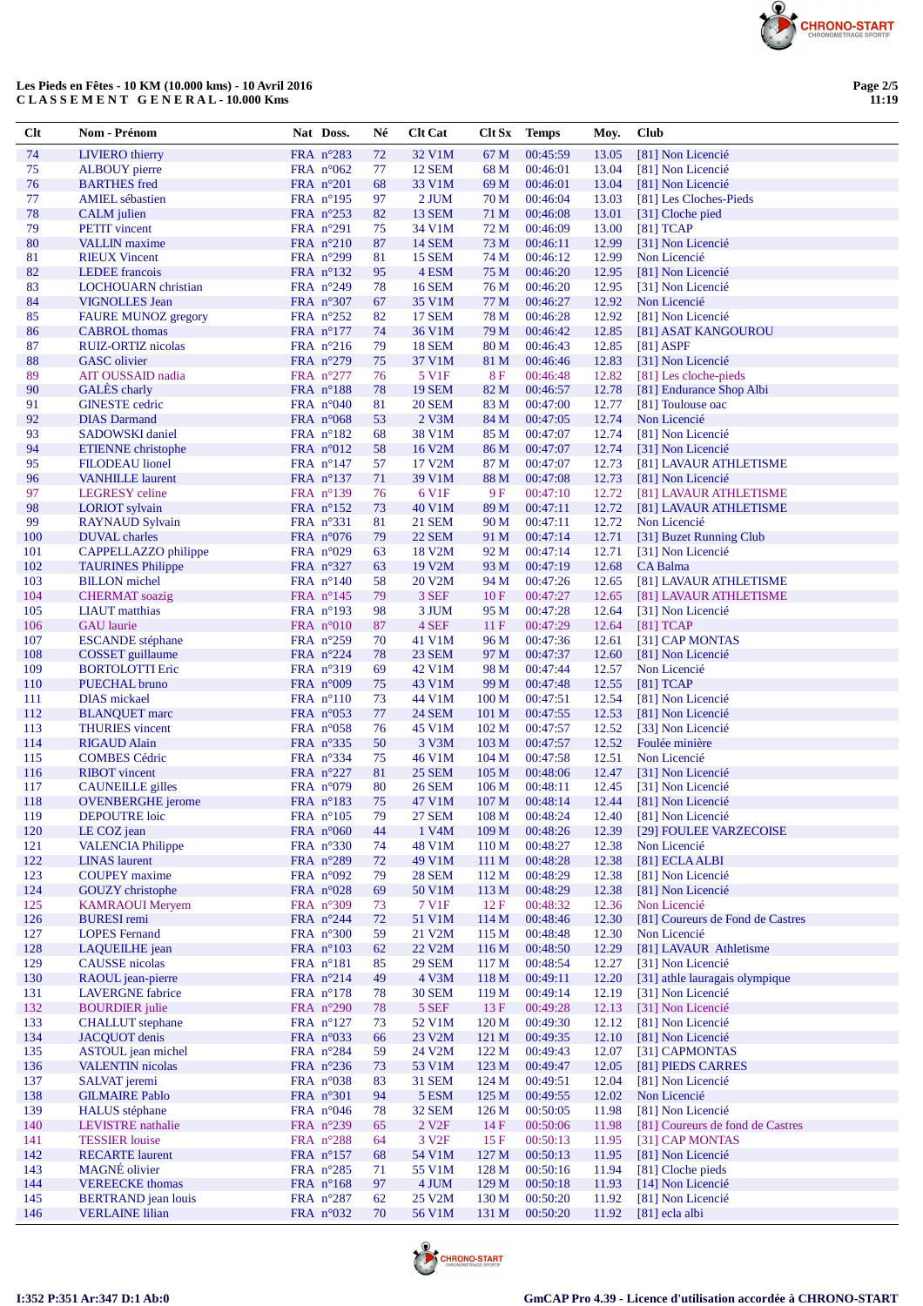

## **Les Pieds en Fêtes - 10 KM (10.000 kms) - 10 Avril 2016 C L A S S E M E N T G E N E R A L - 10.000 Kms**

| Clt        | Nom - Prénom                                        | Nat Doss.                                | Né       | <b>Clt Cat</b>                 | Clt Sx           | <b>Temps</b>         | Moy.           | Club                                                  |
|------------|-----------------------------------------------------|------------------------------------------|----------|--------------------------------|------------------|----------------------|----------------|-------------------------------------------------------|
| 74         | <b>LIVIERO</b> thierry                              | FRA n°283                                | 72       | 32 V1M                         | 67 M             | 00:45:59             | 13.05          | [81] Non Licencié                                     |
| 75         | <b>ALBOUY</b> pierre                                | FRA $n^{\circ}062$                       | 77       | <b>12 SEM</b>                  | 68 M             | 00:46:01             | 13.04          | [81] Non Licencié                                     |
| 76         | <b>BARTHES</b> fred                                 | FRA $n^{\circ}201$                       | 68       | 33 V1M                         | 69 M             | 00:46:01             | 13.04          | [81] Non Licencié                                     |
| 77         | <b>AMIEL</b> sébastien                              | FRA $n^{\circ}195$                       | 97       | 2 JUM                          | 70 M             | 00:46:04             | 13.03          | [81] Les Cloches-Pieds                                |
| 78         | <b>CALM</b> julien                                  | FRA $n^{\circ}253$                       | 82       | <b>13 SEM</b>                  | 71 M             | 00:46:08             | 13.01          | [31] Cloche pied                                      |
| 79         | <b>PETIT</b> vincent                                | FRA $n^{\circ}291$                       | 75       | 34 V1M                         | 72 M             | 00:46:09             | 13.00          | $[81]$ TCAP                                           |
| 80         | <b>VALLIN</b> maxime                                | FRA $n^{\circ}210$                       | 87       | <b>14 SEM</b>                  | 73 M             | 00:46:11             | 12.99          | [31] Non Licencié                                     |
| 81         | <b>RIEUX Vincent</b>                                | FRA $n^{\circ}299$                       | 81       | <b>15 SEM</b>                  | 74 M             | 00:46:12             | 12.99          | Non Licencié                                          |
| 82         | LEDEE francois                                      | FRA $n^{\circ}132$                       | 95       | 4 ESM                          | 75 M             | 00:46:20             | 12.95          | [81] Non Licencié                                     |
| 83         | <b>LOCHOUARN</b> christian                          | FRA $n^{\circ}249$                       | 78       | <b>16 SEM</b>                  | 76 M             | 00:46:20             | 12.95          | [31] Non Licencié                                     |
| 84<br>85   | <b>VIGNOLLES</b> Jean<br><b>FAURE MUNOZ gregory</b> | FRA $n^{\circ}307$<br>FRA $n^{\circ}252$ | 67<br>82 | 35 V1M<br><b>17 SEM</b>        | 77 M<br>78 M     | 00:46:27<br>00:46:28 | 12.92<br>12.92 | Non Licencié<br>[81] Non Licencié                     |
| 86         | <b>CABROL</b> thomas                                | FRA $n^{\circ}177$                       | 74       | 36 V1M                         | 79 M             | 00:46:42             | 12.85          | [81] ASAT KANGOUROU                                   |
| 87         | RUIZ-ORTIZ nicolas                                  | FRA $n^{\circ}216$                       | 79       | <b>18 SEM</b>                  | 80 M             | 00:46:43             | 12.85          | $[81]$ ASPF                                           |
| 88         | <b>GASC</b> olivier                                 | FRA n°279                                | 75       | 37 V1M                         | 81 M             | 00:46:46             | 12.83          | [31] Non Licencié                                     |
| 89         | AIT OUSSAID nadia                                   | FRA $n^{\circ}277$                       | 76       | 5 V1F                          | <b>8F</b>        | 00:46:48             | 12.82          | [81] Les cloche-pieds                                 |
| 90         | GALÈS charly                                        | FRA $n^{\circ}188$                       | 78       | <b>19 SEM</b>                  | 82 M             | 00:46:57             | 12.78          | [81] Endurance Shop Albi                              |
| 91         | <b>GINESTE</b> cedric                               | FRA $n^{\circ}040$                       | 81       | <b>20 SEM</b>                  | 83 M             | 00:47:00             | 12.77          | [81] Toulouse oac                                     |
| 92         | <b>DIAS</b> Darmand                                 | FRA $n^{\circ}068$                       | 53       | 2 V3M                          | 84 M             | 00:47:05             | 12.74          | Non Licencié                                          |
| 93         | <b>SADOWSKI</b> daniel                              | FRA $n^{\circ}182$                       | 68       | 38 V1M                         | 85 M             | 00:47:07             | 12.74          | [81] Non Licencié                                     |
| 94         | ETIENNE christophe                                  | FRA $n^{\circ}012$                       | 58       | 16 V2M                         | 86 M             | 00:47:07             | 12.74          | [31] Non Licencié                                     |
| 95         | <b>FILODEAU</b> lionel                              | FRA $n^{\circ}147$                       | 57       | 17 V2M                         | 87 M             | 00:47:07             | 12.73          | [81] LAVAUR ATHLETISME                                |
| 96         | <b>VANHILLE</b> laurent                             | FRA $n^{\circ}137$                       | 71       | 39 V1M                         | 88 M             | 00:47:08             | 12.73          | [81] Non Licencié                                     |
| 97         | <b>LEGRESY</b> celine                               | FRA $n^{\circ}139$                       | 76       | 6 V1F                          | 9 F              | 00:47:10             | 12.72          | [81] LAVAUR ATHLETISME                                |
| 98         | <b>LORIOT</b> sylvain                               | FRA $n^{\circ}152$                       | 73       | 40 V1M                         | 89 M             | 00:47:11             | 12.72          | [81] LAVAUR ATHLETISME                                |
| 99<br>100  | <b>RAYNAUD Sylvain</b><br><b>DUVAL</b> charles      | FRA $n^{\circ}331$                       | 81       | <b>21 SEM</b><br><b>22 SEM</b> | 90 M             | 00:47:11<br>00:47:14 | 12.72          | Non Licencié                                          |
| 101        | CAPPELLAZZO philippe                                | FRA $n^{\circ}076$<br>FRA $n^{\circ}029$ | 79<br>63 | 18 V2M                         | 91 M<br>92 M     | 00:47:14             | 12.71<br>12.71 | [31] Buzet Running Club<br>[31] Non Licencié          |
| 102        | <b>TAURINES Philippe</b>                            | FRA $n^{\circ}327$                       | 63       | 19 V2M                         | 93 M             | 00:47:19             | 12.68          | CA Balma                                              |
| 103        | <b>BILLON</b> michel                                | FRA $n^{\circ}140$                       | 58       | 20 V2M                         | 94 M             | 00:47:26             | 12.65          | [81] LAVAUR ATHLETISME                                |
| 104        | <b>CHERMAT</b> soazig                               | FRA $n^{\circ}145$                       | 79       | 3 SEF                          | 10F              | 00:47:27             | 12.65          | [81] LAVAUR ATHLETISME                                |
| 105        | <b>LIAUT</b> matthias                               | FRA $n^{\circ}193$                       | 98       | 3 JUM                          | 95 M             | 00:47:28             | 12.64          | [31] Non Licencié                                     |
| 106        | <b>GAU</b> laurie                                   | FRA $n^{\circ}010$                       | 87       | 4 SEF                          | 11F              | 00:47:29             | 12.64          | $[81]$ TCAP                                           |
| 107        | <b>ESCANDE</b> stéphane                             | FRA $n^{\circ}259$                       | 70       | 41 V1M                         | 96 M             | 00:47:36             | 12.61          | [31] CAP MONTAS                                       |
| 108        | <b>COSSET</b> guillaume                             | FRA n°224                                | 78       | 23 SEM                         | 97 M             | 00:47:37             | 12.60          | [81] Non Licencié                                     |
| 109        | <b>BORTOLOTTI Eric</b>                              | FRA $n^{\circ}319$                       | 69       | 42 V1M                         | 98 M             | 00:47:44             | 12.57          | Non Licencié                                          |
| 110        | PUECHAL bruno                                       | FRA $n^{\circ}009$                       | 75       | 43 V1M                         | 99 M             | 00:47:48             | 12.55          | $[81]$ TCAP                                           |
| 111        | <b>DIAS</b> mickael                                 | FRA $n^{\circ}110$                       | 73       | 44 V1M                         | 100 M            | 00:47:51             | 12.54          | [81] Non Licencié                                     |
| 112        | <b>BLANQUET</b> marc                                | FRA $n^{\circ}053$                       | 77       | <b>24 SEM</b>                  | 101 <sub>M</sub> | 00:47:55             | 12.53          | [81] Non Licencié                                     |
| 113<br>114 | <b>THURIES</b> vincent<br><b>RIGAUD Alain</b>       | FRA $n^{\circ}058$<br>FRA $n^{\circ}335$ | 76<br>50 | 45 V1M<br>3 V3M                | 102 M<br>103 M   | 00:47:57<br>00:47:57 | 12.52<br>12.52 | [33] Non Licencié<br>Foulée minière                   |
| 115        | <b>COMBES Cédric</b>                                | FRA n°334                                | 75       | 46 V1M                         | 104 M            | 00:47:58             | 12.51          | Non Licencié                                          |
| 116        | <b>RIBOT</b> vincent                                | FRA $n^{\circ}227$                       | 81       | <b>25 SEM</b>                  | 105 <sub>M</sub> | 00:48:06             | 12.47          | [31] Non Licencié                                     |
| 117        | <b>CAUNEILLE</b> gilles                             | FRA $n^{\circ}079$                       | 80       | <b>26 SEM</b>                  | 106 <sub>M</sub> | 00:48:11             | 12.45          | [31] Non Licencié                                     |
| 118        | <b>OVENBERGHE</b> jerome                            | FRA $n^{\circ}183$                       | 75       | 47 V1M                         | 107 <sub>M</sub> | 00:48:14             | 12.44          | [81] Non Licencié                                     |
| 119        | <b>DEPOUTRE</b> loic                                | FRA $n^{\circ}105$                       | 79       | <b>27 SEM</b>                  | 108 <sub>M</sub> | 00:48:24             | 12.40          | [81] Non Licencié                                     |
| 120        | LE COZ jean                                         | FRA n°060                                | 44       | 1 V4M                          | 109 M            | 00:48:26             | 12.39          | [29] FOULEE VARZECOISE                                |
| 121        | <b>VALENCIA Philippe</b>                            | FRA $n^{\circ}330$                       | 74       | 48 V1M                         | 110 <sub>M</sub> | 00:48:27             | 12.38          | Non Licencié                                          |
| 122        | <b>LINAS</b> laurent                                | FRA n°289                                | 72       | 49 V1M                         | 111 M            | 00:48:28             | 12.38          | [81] ECLA ALBI                                        |
| 123        | <b>COUPEY</b> maxime                                | FRA $n^{\circ}092$                       | 79       | <b>28 SEM</b>                  | 112M             | 00:48:29             | 12.38          | [81] Non Licencié                                     |
| 124<br>125 | <b>GOUZY</b> christophe<br><b>KAMRAOUI</b> Meryem   | FRA $n^{\circ}028$                       | 69       | 50 V1M<br>7 V1F                | 113 M            | 00:48:29             | 12.38          | [81] Non Licencié                                     |
| 126        | <b>BURESI</b> remi                                  | FRA n°309<br>FRA $n^{\circ}244$          | 73<br>72 | 51 V1M                         | 12F<br>114 M     | 00:48:32<br>00:48:46 | 12.36<br>12.30 | Non Licencié<br>[81] Coureurs de Fond de Castres      |
| 127        | <b>LOPES</b> Fernand                                | FRA $n^{\circ}300$                       | 59       | 21 V2M                         | 115 M            | 00:48:48             | 12.30          | Non Licencié                                          |
| 128        | LAQUEILHE jean                                      | FRA $n^{\circ}103$                       | 62       | 22 V2M                         | 116 M            | 00:48:50             | 12.29          | [81] LAVAUR Athletisme                                |
| 129        | <b>CAUSSE</b> nicolas                               | FRA n°181                                | 85       | <b>29 SEM</b>                  | 117 M            | 00:48:54             | 12.27          | [31] Non Licencié                                     |
| 130        | RAOUL jean-pierre                                   | FRA $n^{\circ}214$                       | 49       | 4 V3M                          | 118 M            | 00:49:11             | 12.20          | [31] athle lauragais olympique                        |
| 131        | <b>LAVERGNE</b> fabrice                             | FRA $n^{\circ}178$                       | 78       | <b>30 SEM</b>                  | 119 <sub>M</sub> | 00:49:14             | 12.19          | [31] Non Licencié                                     |
| 132        | <b>BOURDIER</b> julie                               | FRA n°290                                | 78       | 5 SEF                          | $13 F$           | 00:49:28             | 12.13          | [31] Non Licencié                                     |
| 133        | <b>CHALLUT</b> stephane                             | FRA $n^{\circ}127$                       | 73       | 52 V1M                         | 120 <sub>M</sub> | 00:49:30             | 12.12          | [81] Non Licencié                                     |
| 134        | <b>JACQUOT</b> denis                                | FRA $n^{\circ}033$                       | 66       | 23 V2M                         | 121 M            | 00:49:35             | 12.10          | [81] Non Licencié                                     |
| 135        | <b>ASTOUL</b> jean michel                           | FRA $n^{\circ}284$                       | 59       | 24 V2M                         | 122 M            | 00:49:43             | 12.07          | [31] CAPMONTAS                                        |
| 136        | <b>VALENTIN</b> nicolas                             | FRA $n^{\circ}236$                       | 73       | 53 V1M                         | 123 M            | 00:49:47             | 12.05          | [81] PIEDS CARRES                                     |
| 137        | SALVAT jeremi                                       | FRA $n^{\circ}038$                       | 83       | <b>31 SEM</b>                  | 124M             | 00:49:51             | 12.04          | [81] Non Licencié                                     |
| 138        | <b>GILMAIRE Pablo</b>                               | FRA n°301                                | 94       | 5 ESM                          | 125 M            | 00:49:55             | 12.02          | Non Licencié                                          |
| 139<br>140 | <b>HALUS</b> stéphane<br><b>LEVISTRE</b> nathalie   | FRA $n^{\circ}046$<br>FRA $n^{\circ}239$ | 78       | 32 SEM<br>2 V <sub>2F</sub>    | 126 M<br>14F     | 00:50:05<br>00:50:06 | 11.98<br>11.98 | [81] Non Licencié<br>[81] Coureurs de fond de Castres |
| 141        | <b>TESSIER</b> louise                               | FRA $n^{\circ}288$                       | 65<br>64 | 3 V <sub>2F</sub>              | 15F              | 00:50:13             | 11.95          | [31] CAP MONTAS                                       |
| 142        | <b>RECARTE</b> laurent                              | FRA n°157                                | 68       | 54 V1M                         | 127 M            | 00:50:13             | 11.95          | [81] Non Licencié                                     |
| 143        | <b>MAGNÉ</b> olivier                                | FRA $n^{\circ}285$                       | 71       | 55 V1M                         | 128 M            | 00:50:16             | 11.94          | [81] Cloche pieds                                     |
| 144        | <b>VEREECKE</b> thomas                              | FRA $n^{\circ}168$                       | 97       | 4 JUM                          | 129 M            | 00:50:18             | 11.93          | [14] Non Licencié                                     |
| 145        | <b>BERTRAND</b> jean louis                          | FRA $n^{\circ}287$                       | 62       | 25 V2M                         | 130 <sub>M</sub> | 00:50:20             | 11.92          | [81] Non Licencié                                     |
| 146        | <b>VERLAINE</b> lilian                              | FRA $n^{\circ}032$                       | 70       | 56 V1M                         | 131 M            | 00:50:20             | 11.92          | [81] ecla albi                                        |

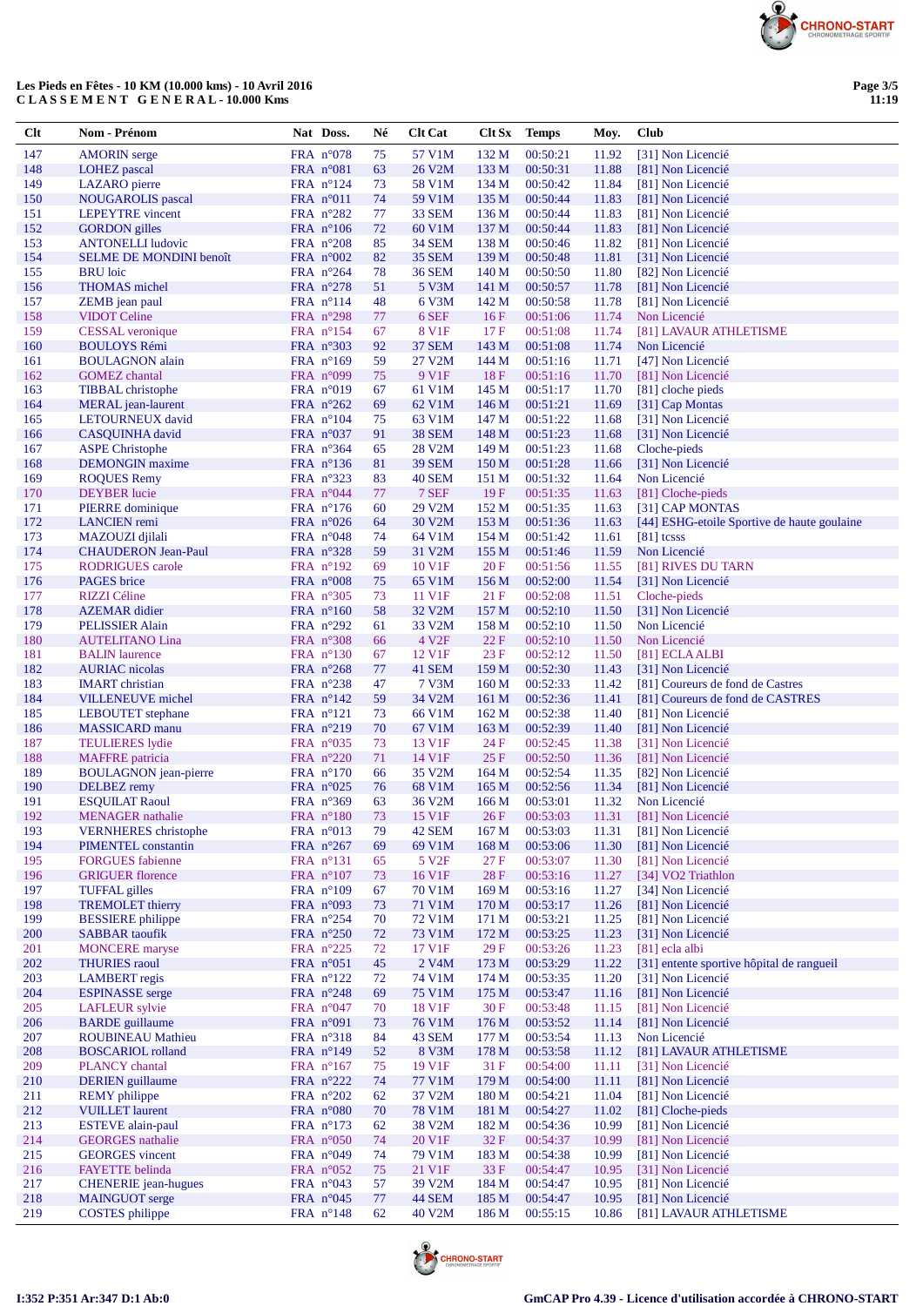

# Les Pieds en Fêtes - 10 KM (10.000 kms) - 10 Avril 2016<br>C L A S S E M E N T G E N E R A L - 10.000 Kms

| Clt        | Nom - Prénom                                        | Nat Doss.                                | Né       | <b>Clt Cat</b>              |                  | Clt Sx Temps         | Moy.           | Club                                        |
|------------|-----------------------------------------------------|------------------------------------------|----------|-----------------------------|------------------|----------------------|----------------|---------------------------------------------|
| 147        | <b>AMORIN</b> serge                                 | FRA $n^{\circ}078$                       | 75       | 57 V1M                      | 132 M            | 00:50:21             | 11.92          | [31] Non Licencié                           |
| 148        | <b>LOHEZ</b> pascal                                 | FRA n°081                                | 63       | 26 V2M                      | 133 M            | 00:50:31             | 11.88          | [81] Non Licencié                           |
| 149        | LAZARO pierre                                       | FRA $n^{\circ}124$                       | 73       | 58 V1M                      | 134 M            | 00:50:42             | 11.84          | [81] Non Licencié                           |
| 150        | <b>NOUGAROLIS</b> pascal<br><b>LEPEYTRE</b> vincent | FRA $n^{\circ}011$                       | 74       | 59 V1M                      | 135 M            | 00:50:44             | 11.83          | [81] Non Licencié                           |
| 151<br>152 | <b>GORDON</b> gilles                                | FRA $n^{\circ}282$<br>FRA $n^{\circ}106$ | 77<br>72 | 33 SEM<br>60 V1M            | 136 M<br>137 M   | 00:50:44<br>00:50:44 | 11.83<br>11.83 | [81] Non Licencié<br>[81] Non Licencié      |
| 153        | <b>ANTONELLI</b> ludovic                            | FRA $n^{\circ}208$                       | 85       | 34 SEM                      | 138 M            | 00:50:46             | 11.82          | [81] Non Licencié                           |
| 154        | <b>SELME DE MONDINI benoît</b>                      | FRA $n^{\circ}002$                       | 82       | <b>35 SEM</b>               | 139 M            | 00:50:48             | 11.81          | [31] Non Licencié                           |
| 155        | <b>BRU</b> loic                                     | FRA $n^{\circ}264$                       | 78       | <b>36 SEM</b>               | 140 <sub>M</sub> | 00:50:50             | 11.80          | [82] Non Licencié                           |
| 156        | <b>THOMAS</b> michel                                | FRA $n^{\circ}278$                       | 51       | 5 V3M                       | 141 M            | 00:50:57             | 11.78          | [81] Non Licencié                           |
| 157        | ZEMB jean paul                                      | FRA $n^{\circ}114$                       | 48       | 6 V3M                       | 142 M            | 00:50:58             | 11.78          | [81] Non Licencié                           |
| 158        | <b>VIDOT</b> Celine                                 | FRA $n^{\circ}298$                       | 77       | 6 SEF                       | 16F              | 00:51:06             | 11.74          | Non Licencié                                |
| 159<br>160 | <b>CESSAL</b> veronique                             | FRA $n^{\circ}154$                       | 67       | 8 V1F                       | 17F              | 00:51:08<br>00:51:08 | 11.74          | [81] LAVAUR ATHLETISME                      |
| 161        | <b>BOULOYS Rémi</b><br><b>BOULAGNON</b> alain       | FRA $n^{\circ}303$<br>FRA $n^{\circ}169$ | 92<br>59 | <b>37 SEM</b><br>27 V2M     | 143 M<br>144 M   | 00:51:16             | 11.74<br>11.71 | Non Licencié<br>[47] Non Licencié           |
| 162        | <b>GOMEZ</b> chantal                                | FRA $n°099$                              | 75       | 9 V1F                       | 18F              | 00:51:16             | 11.70          | [81] Non Licencié                           |
| 163        | <b>TIBBAL</b> christophe                            | FRA $n^{\circ}019$                       | 67       | 61 V1M                      | 145 M            | 00:51:17             | 11.70          | [81] cloche pieds                           |
| 164        | <b>MERAL</b> jean-laurent                           | FRA $n^{\circ}262$                       | 69       | 62 V1M                      | 146 <sub>M</sub> | 00:51:21             | 11.69          | [31] Cap Montas                             |
| 165        | LETOURNEUX david                                    | FRA $n^{\circ}104$                       | 75       | 63 V1M                      | 147 M            | 00:51:22             | 11.68          | [31] Non Licencié                           |
| 166        | CASQUINHA david                                     | FRA $n^{\circ}037$                       | 91       | <b>38 SEM</b>               | 148 M            | 00:51:23             | 11.68          | [31] Non Licencié                           |
| 167        | <b>ASPE Christophe</b>                              | FRA $n^{\circ}364$                       | 65       | 28 V2M                      | 149 M            | 00:51:23             | 11.68          | Cloche-pieds                                |
| 168<br>169 | <b>DEMONGIN</b> maxime<br><b>ROQUES Remy</b>        | FRA $n^{\circ}136$<br>FRA $n^{\circ}323$ | 81<br>83 | <b>39 SEM</b><br>40 SEM     | 150 M<br>151 M   | 00:51:28<br>00:51:32 | 11.66<br>11.64 | [31] Non Licencié<br>Non Licencié           |
| 170        | <b>DEYBER</b> lucie                                 | FRA n°044                                | 77       | 7 SEF                       | 19F              | 00:51:35             | 11.63          | [81] Cloche-pieds                           |
| 171        | PIERRE dominique                                    | FRA $n^{\circ}176$                       | 60       | 29 V2M                      | 152 M            | 00:51:35             | 11.63          | [31] CAP MONTAS                             |
| 172        | <b>LANCIEN</b> remi                                 | FRA $n^{\circ}026$                       | 64       | 30 V2M                      | 153 M            | 00:51:36             | 11.63          | [44] ESHG-etoile Sportive de haute goulaine |
| 173        | MAZOUZI djilali                                     | FRA $n^{\circ}048$                       | 74       | 64 V1M                      | 154 M            | 00:51:42             | 11.61          | $[81]$ tcsss                                |
| 174        | <b>CHAUDERON Jean-Paul</b>                          | FRA $n^{\circ}328$                       | 59       | 31 V2M                      | 155 M            | 00:51:46             | 11.59          | Non Licencié                                |
| 175        | <b>RODRIGUES</b> carole                             | FRA $n^{\circ}192$                       | 69       | 10 V1F                      | 20 F             | 00:51:56             | 11.55          | [81] RIVES DU TARN                          |
| 176        | PAGES brice                                         | FRA $n^{\circ}008$                       | 75       | 65 V1M                      | 156 M            | 00:52:00             | 11.54          | [31] Non Licencié                           |
| 177<br>178 | RIZZI Céline                                        | FRA $n^{\circ}305$                       | 73       | 11 V1F                      | 21F              | 00:52:08             | 11.51          | Cloche-pieds<br>[31] Non Licencié           |
| 179        | <b>AZEMAR</b> didier<br><b>PELISSIER Alain</b>      | FRA $n^{\circ}160$<br>FRA $n^{\circ}292$ | 58<br>61 | 32 V2M<br>33 V2M            | 157 M<br>158 M   | 00:52:10<br>00:52:10 | 11.50<br>11.50 | Non Licencié                                |
| 180        | <b>AUTELITANO Lina</b>                              | FRA $n^{\circ}308$                       | 66       | 4 V <sub>2F</sub>           | 22F              | 00:52:10             | 11.50          | Non Licencié                                |
| 181        | <b>BALIN</b> laurence                               | FRA $n^{\circ}130$                       | 67       | 12 V1F                      | 23F              | 00:52:12             | 11.50          | [81] ECLA ALBI                              |
| 182        | <b>AURIAC</b> nicolas                               | FRA $n^{\circ}268$                       | 77       | 41 SEM                      | 159 M            | 00:52:30             | 11.43          | [31] Non Licencié                           |
| 183        | <b>IMART</b> christian                              | FRA $n^{\circ}238$                       | 47       | 7 V3M                       | 160 <sub>M</sub> | 00:52:33             | 11.42          | [81] Coureurs de fond de Castres            |
| 184        | <b>VILLENEUVE</b> michel                            | FRA $n^{\circ}142$                       | 59       | 34 V2M                      | 161 M            | 00:52:36             | 11.41          | [81] Coureurs de fond de CASTRES            |
| 185        | <b>LEBOUTET</b> stephane                            | FRA $n^{\circ}121$                       | 73       | 66 V1M                      | 162 M            | 00:52:38             | 11.40          | [81] Non Licencié                           |
| 186<br>187 | <b>MASSICARD</b> manu<br><b>TEULIERES</b> lydie     | FRA $n^{\circ}219$<br>FRA $n^{\circ}035$ | 70       | 67 V1M<br>13 V1F            | 163 M<br>24 F    | 00:52:39<br>00:52:45 | 11.40          | [81] Non Licencié<br>[31] Non Licencié      |
| 188        | <b>MAFFRE</b> patricia                              | FRA n°220                                | 73<br>71 | 14 V1F                      | 25F              | 00:52:50             | 11.38<br>11.36 | [81] Non Licencié                           |
| 189        | <b>BOULAGNON</b> jean-pierre                        | FRA $n^{\circ}170$                       | 66       | 35 V2M                      | 164 M            | 00:52:54             | 11.35          | [82] Non Licencié                           |
| 190        | <b>DELBEZ</b> remy                                  | FRA $n^{\circ}025$                       | 76       | 68 V1M                      | 165 M            | 00:52:56             | 11.34          | [81] Non Licencié                           |
| 191        | <b>ESQUILAT Raoul</b>                               | FRA n°369                                | 63       | 36 V2M                      | 166 M            | 00:53:01             | 11.32          | Non Licencié                                |
| 192        | <b>MENAGER</b> nathalie                             | $FRA$ n°180                              | 73       | 15 V1F                      | 26F              | 00:53:03             |                | 11.31 [81] Non Licencié                     |
| 193        | <b>VERNHERES</b> christophe                         | FRA n°013                                | 79       | 42 SEM                      | 167 <sub>M</sub> | 00:53:03             | 11.31          | [81] Non Licencié                           |
| 194        | PIMENTEL constantin                                 | FRA $n^{\circ}267$                       | 69       | 69 V1M                      | 168 M            | 00:53:06             | 11.30          | [81] Non Licencié                           |
| 195<br>196 | <b>FORGUES</b> fabienne<br><b>GRIGUER</b> florence  | FRA $n^{\circ}131$<br>FRA $n^{\circ}107$ | 65<br>73 | 5 V <sub>2F</sub><br>16 V1F | 27F<br>28F       | 00:53:07<br>00:53:16 | 11.30<br>11.27 | [81] Non Licencié<br>[34] VO2 Triathlon     |
| 197        | <b>TUFFAL</b> gilles                                | FRA $n^{\circ}109$                       | 67       | 70 V1M                      | 169 M            | 00:53:16             | 11.27          | [34] Non Licencié                           |
| 198        | <b>TREMOLET</b> thierry                             | FRA n°093                                | 73       | 71 V1M                      | 170 M            | 00:53:17             | 11.26          | [81] Non Licencié                           |
| 199        | <b>BESSIERE</b> philippe                            | FRA $n^{\circ}254$                       | 70       | 72 V1M                      | 171 M            | 00:53:21             | 11.25          | [81] Non Licencié                           |
| 200        | <b>SABBAR</b> taoufik                               | FRA $n^{\circ}250$                       | 72       | 73 V1M                      | 172 M            | 00:53:25             | 11.23          | [31] Non Licencié                           |
| 201        | <b>MONCERE</b> maryse                               | FRA $n^{\circ}225$                       | 72       | 17 V1F                      | 29F              | 00:53:26             | 11.23          | $[81]$ ecla albi                            |
| 202        | <b>THURIES</b> raoul                                | FRA n°051                                | 45       | 2 V <sub>4</sub> M          | 173 M            | 00:53:29             | 11.22          | [31] entente sportive hôpital de rangueil   |
| 203<br>204 | <b>LAMBERT</b> regis<br><b>ESPINASSE</b> serge      | FRA $n^{\circ}122$                       | 72       | 74 V1M<br><b>75 V1M</b>     | 174 M            | 00:53:35             | 11.20          | [31] Non Licencié                           |
| 205        | <b>LAFLEUR</b> sylvie                               | FRA $n^{\circ}248$<br>FRA $n^{\circ}047$ | 69<br>70 | 18 V1F                      | 175 M<br>30F     | 00:53:47<br>00:53:48 | 11.16<br>11.15 | [81] Non Licencié<br>[81] Non Licencié      |
| 206        | <b>BARDE</b> guillaume                              | FRA $n°091$                              | 73       | 76 V1M                      | 176 M            | 00:53:52             | 11.14          | [81] Non Licencié                           |
| 207        | <b>ROUBINEAU Mathieu</b>                            | FRA n°318                                | 84       | 43 SEM                      | 177 M            | 00:53:54             | 11.13          | Non Licencié                                |
| 208        | <b>BOSCARIOL</b> rolland                            | FRA $n^{\circ}149$                       | 52       | 8 V3M                       | 178 M            | 00:53:58             | 11.12          | [81] LAVAUR ATHLETISME                      |
| 209        | PLANCY chantal                                      | FRA $n^{\circ}167$                       | 75       | 19 V1F                      | 31F              | 00:54:00             | 11.11          | [31] Non Licencié                           |
| 210        | <b>DERIEN</b> guillaume                             | FRA n°222                                | 74       | 77 V1M                      | 179 M            | 00:54:00             | 11.11          | [81] Non Licencié                           |
| 211        | <b>REMY</b> philippe                                | FRA $n^{\circ}202$                       | 62       | 37 V2M                      | 180 M            | 00:54:21             | 11.04          | [81] Non Licencié                           |
| 212        | <b>VUILLET</b> laurent<br><b>ESTEVE</b> alain-paul  | FRA n°080                                | 70       | 78 V1M                      | 181 M            | 00:54:27             | 11.02          | [81] Cloche-pieds<br>[81] Non Licencié      |
| 213<br>214 | <b>GEORGES</b> nathalie                             | FRA $n^{\circ}173$<br>FRA $n^{\circ}050$ | 62<br>74 | 38 V2M<br>20 V1F            | 182 M<br>32 F    | 00:54:36<br>00:54:37 | 10.99<br>10.99 | [81] Non Licencié                           |
| 215        | <b>GEORGES</b> vincent                              | FRA $n^{\circ}049$                       | 74       | 79 V1M                      | 183 M            | 00:54:38             | 10.99          | [81] Non Licencié                           |
| 216        | <b>FAYETTE</b> belinda                              | FRA $n^{\circ}052$                       | 75       | 21 V1F                      | 33 F             | 00:54:47             | 10.95          | [31] Non Licencié                           |
| 217        | <b>CHENERIE</b> jean-hugues                         | FRA $n^{\circ}043$                       | 57       | 39 V2M                      | 184 M            | 00:54:47             | 10.95          | [81] Non Licencié                           |
| 218        | <b>MAINGUOT</b> serge                               | FRA $n^{\circ}045$                       | 77       | 44 SEM                      | 185 M            | 00:54:47             | 10.95          | [81] Non Licencié                           |
| 219        | <b>COSTES</b> philippe                              | FRA n°148                                | 62       | 40 V2M                      | 186 M            | 00:55:15             | 10.86          | [81] LAVAUR ATHLETISME                      |

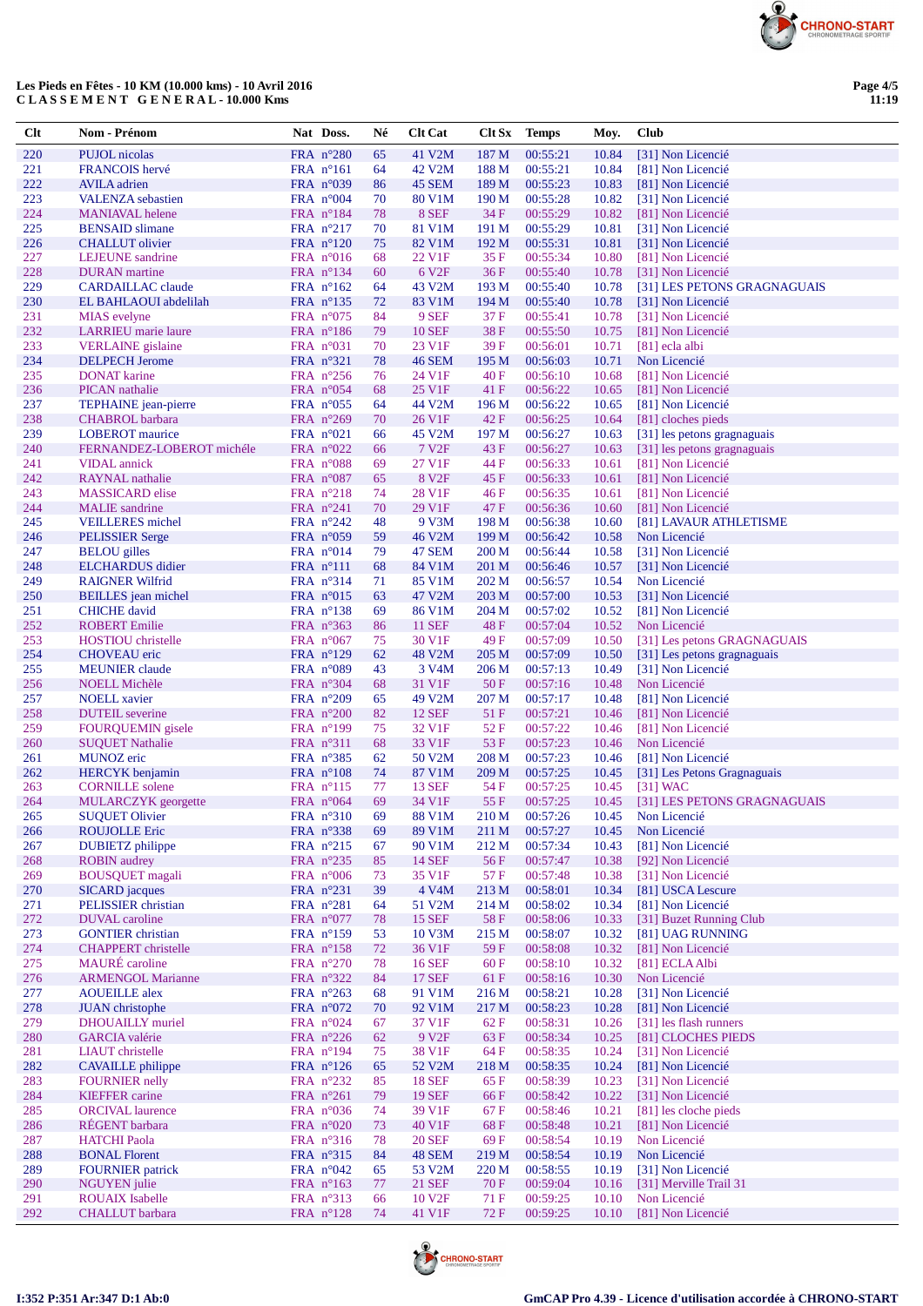

## Les Pieds en Fêtes - 10 KM (10.000 kms) - 10 Avril 2016 CLASSEMENT GENERAL-10.000 Kms

| $Cl$ t     | Nom - Prénom                                        | Nat Doss.                                | Né       | <b>Clt Cat</b>               | <b>Clt Sx</b>  | <b>Temps</b>         | Moy.           | Club                                       |
|------------|-----------------------------------------------------|------------------------------------------|----------|------------------------------|----------------|----------------------|----------------|--------------------------------------------|
| 220        | <b>PUJOL</b> nicolas                                | FRA n°280                                | 65       | 41 V2M                       | 187 M          | 00:55:21             | 10.84          | [31] Non Licencié                          |
| 221        | FRANCOIS hervé                                      | FRA $n^{\circ}161$                       | 64       | 42 V2M                       | 188 M          | 00:55:21             | 10.84          | [81] Non Licencié                          |
| 222        | <b>AVILA</b> adrien                                 | FRA $n^{\circ}039$                       | 86       | 45 SEM                       | 189 M          | 00:55:23             | 10.83          | [81] Non Licencié                          |
| 223        | <b>VALENZA</b> sebastien                            | FRA $n^{\circ}004$                       | 70       | 80 V1M                       | 190 M          | 00:55:28             | 10.82          | [31] Non Licencié                          |
| 224        | <b>MANIAVAL</b> helene                              | FRA $n^{\circ}184$                       | 78       | 8 SEF                        | 34 F           | 00:55:29             | 10.82          | [81] Non Licencié                          |
| 225<br>226 | <b>BENSAID</b> slimane<br><b>CHALLUT</b> olivier    | FRA $n^{\circ}217$<br>FRA $n^{\circ}120$ | 70<br>75 | 81 V1M<br>82 V1M             | 191 M<br>192 M | 00:55:29<br>00:55:31 | 10.81<br>10.81 | [31] Non Licencié<br>[31] Non Licencié     |
| 227        | <b>LEJEUNE</b> sandrine                             | FRA $n^{\circ}016$                       | 68       | 22 V1F                       | 35 F           | 00:55:34             | 10.80          | [81] Non Licencié                          |
| 228        | <b>DURAN</b> martine                                | FRA $n^{\circ}134$                       | 60       | 6 V <sub>2F</sub>            | 36F            | 00:55:40             | 10.78          | [31] Non Licencié                          |
| 229        | <b>CARDAILLAC</b> claude                            | FRA $n^{\circ}162$                       | 64       | 43 V2M                       | 193 M          | 00:55:40             | 10.78          | [31] LES PETONS GRAGNAGUAIS                |
| 230        | EL BAHLAOUI abdelilah                               | FRA $n^{\circ}$ 135                      | 72       | 83 V1M                       | 194 M          | 00:55:40             | 10.78          | [31] Non Licencié                          |
| 231        | <b>MIAS</b> evelyne                                 | FRA $n^{\circ}075$                       | 84       | 9 SEF                        | 37 F           | 00:55:41             | 10.78          | [31] Non Licencié                          |
| 232        | <b>LARRIEU</b> marie laure                          | FRA $n^{\circ}186$                       | 79       | <b>10 SEF</b>                | 38F            | 00:55:50             | 10.75          | [81] Non Licencié                          |
| 233        | <b>VERLAINE</b> gislaine                            | FRA $n^{\circ}031$                       | 70       | 23 V1F                       | 39 F           | 00:56:01             | 10.71          | [81] ecla albi                             |
| 234<br>235 | <b>DELPECH</b> Jerome<br><b>DONAT</b> karine        | FRA $n^{\circ}321$<br>FRA $n^{\circ}256$ | 78<br>76 | <b>46 SEM</b><br>24 V1F      | 195 M<br>40F   | 00:56:03<br>00:56:10 | 10.71<br>10.68 | Non Licencié<br>[81] Non Licencié          |
| 236        | <b>PICAN</b> nathalie                               | FRA $n^{\circ}054$                       | 68       | 25 V1F                       | 41 F           | 00:56:22             | 10.65          | [81] Non Licencié                          |
| 237        | TEPHAINE jean-pierre                                | FRA $n^{\circ}055$                       | 64       | 44 V2M                       | 196 M          | 00:56:22             | 10.65          | [81] Non Licencié                          |
| 238        | <b>CHABROL</b> barbara                              | FRA $n^{\circ}269$                       | 70       | 26 V1F                       | 42 F           | 00:56:25             | 10.64          | [81] cloches pieds                         |
| 239        | <b>LOBEROT</b> maurice                              | FRA $n^{\circ}021$                       | 66       | 45 V2M                       | 197 M          | 00:56:27             | 10.63          | [31] les petons gragnaguais                |
| 240        | FERNANDEZ-LOBEROT michéle                           | FRA $n^{\circ}022$                       | 66       | 7 V <sub>2F</sub>            | 43 F           | 00:56:27             | 10.63          | [31] les petons gragnaguais                |
| 241        | <b>VIDAL</b> annick                                 | FRA $n^{\circ}088$                       | 69       | 27 V1F                       | 44 F           | 00:56:33             | 10.61          | [81] Non Licencié                          |
| 242        | <b>RAYNAL</b> nathalie                              | FRA n°087                                | 65       | 8 V <sub>2F</sub>            | 45 F           | 00:56:33             | 10.61          | [81] Non Licencié                          |
| 243        | <b>MASSICARD</b> elise                              | FRA $n^{\circ}218$                       | 74       | 28 V1F                       | 46 F           | 00:56:35             | 10.61          | [81] Non Licencié                          |
| 244        | <b>MALIE</b> sandrine                               | FRA $n^{\circ}241$                       | 70       | 29 V1F                       | 47 F           | 00:56:36             | 10.60          | [81] Non Licencié                          |
| 245<br>246 | <b>VEILLERES</b> michel<br><b>PELISSIER Serge</b>   | FRA $n^{\circ}242$<br>FRA $n^{\circ}059$ | 48<br>59 | 9 V3M<br>46 V2M              | 198 M<br>199 M | 00:56:38<br>00:56:42 | 10.60<br>10.58 | [81] LAVAUR ATHLETISME<br>Non Licencié     |
| 247        | <b>BELOU</b> gilles                                 | FRA $n^{\circ}014$                       | 79       | 47 SEM                       | 200 M          | 00:56:44             | 10.58          | [31] Non Licencié                          |
| 248        | <b>ELCHARDUS</b> didier                             | $FRA$ $n^{\circ}111$                     | 68       | 84 V1M                       | 201 M          | 00:56:46             | 10.57          | [31] Non Licencié                          |
| 249        | <b>RAIGNER Wilfrid</b>                              | FRA $n^{\circ}314$                       | 71       | 85 V1M                       | 202 M          | 00:56:57             | 10.54          | Non Licencié                               |
| 250        | <b>BEILLES</b> jean michel                          | FRA $n^{\circ}015$                       | 63       | 47 V2M                       | 203 M          | 00:57:00             | 10.53          | [31] Non Licencié                          |
| 251        | <b>CHICHE</b> david                                 | FRA $n^{\circ}$ 138                      | 69       | 86 V1M                       | 204 M          | 00:57:02             | 10.52          | [81] Non Licencié                          |
| 252        | <b>ROBERT</b> Emilie                                | FRA $n^{\circ}363$                       | 86       | <b>11 SEF</b>                | <b>48F</b>     | 00:57:04             | 10.52          | Non Licencié                               |
| 253        | HOSTIOU christelle                                  | FRA $n^{\circ}067$                       | 75       | 30 V1F                       | 49 F           | 00:57:09             | 10.50          | [31] Les petons GRAGNAGUAIS                |
| 254        | <b>CHOVEAU</b> eric                                 | FRA $n^{\circ}129$                       | 62       | 48 V2M                       | 205 M          | 00:57:09             | 10.50          | [31] Les petons gragnaguais                |
| 255<br>256 | <b>MEUNIER</b> claude<br><b>NOELL Michèle</b>       | FRA $n^{\circ}089$<br>FRA $n^{\circ}304$ | 43<br>68 | 3 V <sub>4</sub> M<br>31 V1F | 206 M<br>50 F  | 00:57:13<br>00:57:16 | 10.49<br>10.48 | [31] Non Licencié<br>Non Licencié          |
| 257        | <b>NOELL</b> xavier                                 | FRA $n^{\circ}209$                       | 65       | 49 V2M                       | 207 M          | 00:57:17             | 10.48          | [81] Non Licencié                          |
| 258        | <b>DUTEIL</b> severine                              | FRA $n^{\circ}200$                       | 82       | <b>12 SEF</b>                | 51 F           | 00:57:21             | 10.46          | [81] Non Licencié                          |
| 259        | <b>FOURQUEMIN</b> gisele                            | FRA $n^{\circ}199$                       | 75       | 32 V1F                       | 52 F           | 00:57:22             | 10.46          | [81] Non Licencié                          |
| 260        | <b>SUQUET Nathalie</b>                              | FRA $n^{\circ}311$                       | 68       | 33 V1F                       | 53 F           | 00:57:23             | 10.46          | Non Licencié                               |
| 261        | MUNOZ eric                                          | FRA $n^{\circ}385$                       | 62       | 50 V2M                       | 208 M          | 00:57:23             | 10.46          | [81] Non Licencié                          |
| 262        | <b>HERCYK</b> benjamin                              | FRA $n^{\circ}108$                       | 74       | 87 V1M                       | 209 M          | 00:57:25             | 10.45          | [31] Les Petons Gragnaguais                |
| 263        | <b>CORNILLE</b> solene                              | FRA $n^{\circ}115$                       | 77       | <b>13 SEF</b>                | 54 F           | 00:57:25             | 10.45          | $[31]$ WAC                                 |
| 264        | MULARCZYK georgette<br><b>SUQUET Olivier</b>        | FRA $n^{\circ}064$                       | 69       | 34 V1F                       | 55 F<br>210 M  | 00:57:25             |                | 10.45 [31] LES PETONS GRAGNAGUAIS          |
| 265<br>266 | <b>ROUJOLLE Eric</b>                                | FRA n°310<br>FRA $n^{\circ}338$          | 69<br>69 | 88 V1M<br>89 V1M             | 211 M          | 00:57:26<br>00:57:27 | 10.45          | 10.45 Non Licencié<br>Non Licencié         |
| 267        | <b>DUBIETZ</b> philippe                             | FRA $n^{\circ}215$                       | 67       | 90 V1M                       | 212 M          | 00:57:34             | 10.43          | [81] Non Licencié                          |
| 268        | <b>ROBIN</b> audrey                                 | FRA $n^{\circ}235$                       | 85       | 14 SEF                       | 56 F           | 00:57:47             | 10.38          | [92] Non Licencié                          |
| 269        | <b>BOUSQUET</b> magali                              | FRA $n^{\circ}006$                       | 73       | 35 V1F                       | 57 F           | 00:57:48             | 10.38          | [31] Non Licencié                          |
| 270        | <b>SICARD</b> jacques                               | FRA $n^{\circ}231$                       | 39       | 4 V4M                        | 213 M          | 00:58:01             | 10.34          | [81] USCA Lescure                          |
| 271        | PELISSIER christian                                 | FRA $n^{\circ}281$                       | 64       | 51 V2M                       | 214 M          | 00:58:02             | 10.34          | [81] Non Licencié                          |
| 272        | <b>DUVAL</b> caroline                               | FRA $n^{\circ}077$                       | 78       | <b>15 SEF</b>                | 58F            | 00:58:06             | 10.33          | [31] Buzet Running Club                    |
| 273        | <b>GONTIER</b> christian                            | FRA $n^{\circ}159$                       | 53       | 10 V3M                       | 215 M          | 00:58:07             | 10.32          | [81] UAG RUNNING                           |
| 274<br>275 | <b>CHAPPERT</b> christelle<br><b>MAURE</b> caroline | FRA n°158<br>FRA $n^{\circ}270$          | 72       | 36 V1F<br><b>16 SEF</b>      | 59 F<br>60F    | 00:58:08<br>00:58:10 | 10.32          | [81] Non Licencié<br>[81] ECLA Albi        |
| 276        | <b>ARMENGOL Marianne</b>                            | FRA $n^{\circ}322$                       | 78<br>84 | <b>17 SEF</b>                | 61 F           | 00:58:16             | 10.32<br>10.30 | Non Licencié                               |
| 277        | <b>AOUEILLE</b> alex                                | FRA $n^{\circ}263$                       | 68       | 91 V1M                       | 216 M          | 00:58:21             | 10.28          | [31] Non Licencié                          |
| 278        | <b>JUAN</b> christophe                              | FRA $n^{\circ}072$                       | 70       | 92 V1M                       | 217 M          | 00:58:23             | 10.28          | [81] Non Licencié                          |
| 279        | <b>DHOUAILLY</b> muriel                             | FRA n°024                                | 67       | 37 V1F                       | 62 F           | 00:58:31             | 10.26          | [31] les flash runners                     |
| 280        | <b>GARCIA</b> valérie                               | FRA $n^{\circ}226$                       | 62       | 9 V <sub>2F</sub>            | 63 F           | 00:58:34             | 10.25          | [81] CLOCHES PIEDS                         |
| 281        | <b>LIAUT</b> christelle                             | FRA $n^{\circ}194$                       | 75       | 38 V1F                       | 64 F           | 00:58:35             | 10.24          | [31] Non Licencié                          |
| 282        | <b>CAVAILLE</b> philippe                            | FRA $n^{\circ}126$                       | 65       | 52 V2M                       | 218 M          | 00:58:35             | 10.24          | [81] Non Licencié                          |
| 283        | <b>FOURNIER</b> nelly                               | FRA $n^{\circ}232$                       | 85       | <b>18 SEF</b>                | 65 F           | 00:58:39             | 10.23          | [31] Non Licencié                          |
| 284        | <b>KIEFFER</b> carine                               | FRA $n^{\circ}261$                       | 79       | <b>19 SEF</b>                | 66 F           | 00:58:42             | 10.22          | [31] Non Licencié                          |
| 285        | <b>ORCIVAL</b> laurence<br>RÉGENT barbara           | FRA $n^{\circ}036$<br>FRA n°020          | 74<br>73 | 39 V1F<br>40 V1F             | 67 F<br>68F    | 00:58:46<br>00:58:48 | 10.21          | [81] les cloche pieds<br>[81] Non Licencié |
| 286<br>287 | <b>HATCHI</b> Paola                                 | FRA $n^{\circ}316$                       | 78       | <b>20 SEF</b>                | 69 F           | 00:58:54             | 10.21<br>10.19 | Non Licencié                               |
| 288        | <b>BONAL Florent</b>                                | FRA $n^{\circ}315$                       | 84       | 48 SEM                       | 219 M          | 00:58:54             | 10.19          | Non Licencié                               |
| 289        | <b>FOURNIER</b> patrick                             | FRA $n^{\circ}042$                       | 65       | 53 V2M                       | 220 M          | 00:58:55             | 10.19          | [31] Non Licencié                          |
| 290        | <b>NGUYEN</b> julie                                 | FRA $n^{\circ}163$                       | 77       | <b>21 SEF</b>                | 70 F           | 00:59:04             | 10.16          | [31] Merville Trail 31                     |
| 291        | <b>ROUAIX</b> Isabelle                              | FRA $n^{\circ}313$                       | 66       | 10 V <sub>2F</sub>           | 71 F           | 00:59:25             | 10.10          | Non Licencié                               |
| 292        | <b>CHALLUT</b> barbara                              | FRA n°128                                | 74       | 41 V1F                       | 72 F           | 00:59:25             | 10.10          | [81] Non Licencié                          |